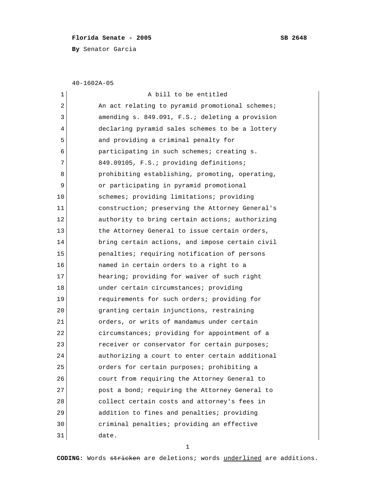## **Florida Senate - 2005 SB 2648**

**By** Senator Garcia

40-1602A-05

| $\mathbf 1$ | A bill to be entitled                           |
|-------------|-------------------------------------------------|
| $\mathbf 2$ | An act relating to pyramid promotional schemes; |
| 3           | amending s. 849.091, F.S.; deleting a provision |
| 4           | declaring pyramid sales schemes to be a lottery |
| 5           | and providing a criminal penalty for            |
| 6           | participating in such schemes; creating s.      |
| 7           | 849.09105, F.S.; providing definitions;         |
| 8           | prohibiting establishing, promoting, operating, |
| 9           | or participating in pyramid promotional         |
| 10          | schemes; providing limitations; providing       |
| 11          | construction; preserving the Attorney General's |
| 12          | authority to bring certain actions; authorizing |
| 13          | the Attorney General to issue certain orders,   |
| 14          | bring certain actions, and impose certain civil |
| 15          | penalties; requiring notification of persons    |
| 16          | named in certain orders to a right to a         |
| 17          | hearing; providing for waiver of such right     |
| 18          | under certain circumstances; providing          |
| 19          | requirements for such orders; providing for     |
| 20          | granting certain injunctions, restraining       |
| 21          | orders, or writs of mandamus under certain      |
| 22          | circumstances; providing for appointment of a   |
| 23          | receiver or conservator for certain purposes;   |
| 24          | authorizing a court to enter certain additional |
| 25          | orders for certain purposes; prohibiting a      |
| 26          | court from requiring the Attorney General to    |
| 27          | post a bond; requiring the Attorney General to  |
| 28          | collect certain costs and attorney's fees in    |
| 29          | addition to fines and penalties; providing      |
| 30          | criminal penalties; providing an effective      |
| 31          | date.                                           |

1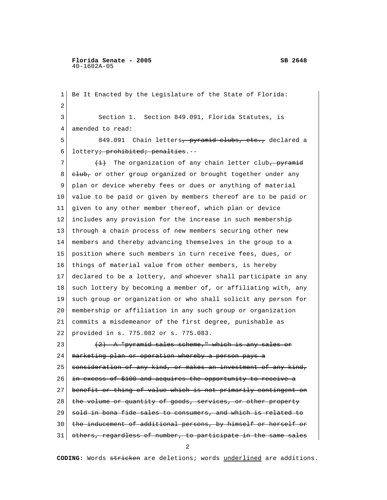**Florida Senate - 2005 SB 2648** 40-1602A-05

 1 Be It Enacted by the Legislature of the State of Florida: 2 3 Section 1. Section 849.091, Florida Statutes, is 4 amended to read: 5 849.091 Chain letters<del>, pyramid clubs, etc.,</del> declared a 6 lottery<del>; prohibited; penalties</del>.-- $7$  (1) The organization of any chain letter club, pyramid 8 club, or other group organized or brought together under any 9 plan or device whereby fees or dues or anything of material 10 value to be paid or given by members thereof are to be paid or 11 given to any other member thereof, which plan or device 12 includes any provision for the increase in such membership 13 through a chain process of new members securing other new 14 members and thereby advancing themselves in the group to a 15 position where such members in turn receive fees, dues, or 16 things of material value from other members, is hereby 17 declared to be a lottery, and whoever shall participate in any 18 such lottery by becoming a member of, or affiliating with, any 19 such group or organization or who shall solicit any person for 20 membership or affiliation in any such group or organization 21 commits a misdemeanor of the first degree, punishable as 22 provided in s. 775.082 or s. 775.083. 23  $(2)$  A "pyramid sales scheme," which is any sales or 24 marketing plan or operation whereby a person pays a 25 consideration of any kind, or makes an investment of any kind, 26 in excess of \$100 and acquires the opportunity to receive a 27 benefit or thing of value which is not primarily contingent on 28 the volume or quantity of goods, services, or other property 29 sold in bona fide sales to consumers, and which is related to 30 | the inducement of additional persons, by himself or herself 31 | others, regardless of number, to participate in the same sales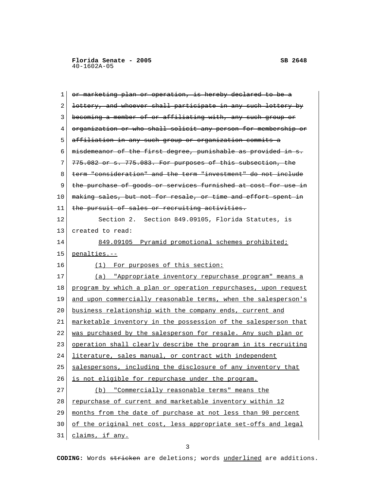1 or marketing plan or operation, is hereby declared to be a 2 lottery, and whoever shall participate in any such lottery by 3 becoming a member of or affiliating with, any such group or 4 organization or who shall solicit any person for membership or 5 affiliation in any such group or organization commits a 6 misdemeanor of the first degree, punishable as provided in s.  $7 \mid 775.082$  or s.  $775.083$ . For purposes of this subsection, the 8 term "consideration" and the term "investment" do not include 9 the purchase of goods or services furnished at cost for use in 10 making sales, but not for resale, or time and effort spent in 11 the pursuit of sales or recruiting activities. 12 Section 2. Section 849.09105, Florida Statutes, is 13 created to read: 14 849.09105 Pyramid promotional schemes prohibited; 15 penalties.-- 16 (1) For purposes of this section: 17 (a) "Appropriate inventory repurchase program" means a 18 program by which a plan or operation repurchases, upon request 19 and upon commercially reasonable terms, when the salesperson's 20 business relationship with the company ends, current and 21 marketable inventory in the possession of the salesperson that 22 was purchased by the salesperson for resale. Any such plan or 23 operation shall clearly describe the program in its recruiting 24 literature, sales manual, or contract with independent 25 salespersons, including the disclosure of any inventory that 26 is not eligible for repurchase under the program. 27 (b) "Commercially reasonable terms" means the 28 repurchase of current and marketable inventory within 12 29 months from the date of purchase at not less than 90 percent

30 of the original net cost, less appropriate set-offs and legal

31 claims, if any.

3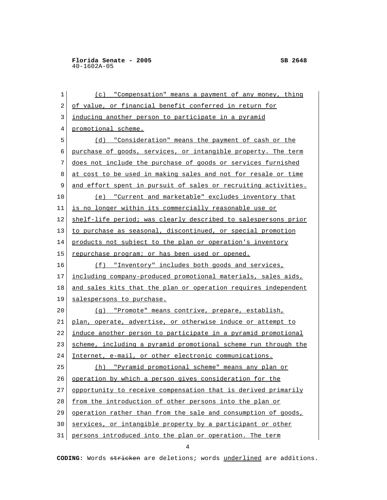1 (c) "Compensation" means a payment of any money, thing 2 of value, or financial benefit conferred in return for 3 inducing another person to participate in a pyramid 4 promotional scheme. 5 (d) "Consideration" means the payment of cash or the 6 purchase of goods, services, or intangible property. The term 7 does not include the purchase of goods or services furnished 8 at cost to be used in making sales and not for resale or time 9 and effort spent in pursuit of sales or recruiting activities. 10 (e) "Current and marketable" excludes inventory that 11 is no longer within its commercially reasonable use or 12 shelf-life period; was clearly described to salespersons prior 13 to purchase as seasonal, discontinued, or special promotion 14 products not subject to the plan or operation's inventory 15 | repurchase program; or has been used or opened. 16 (f) "Inventory" includes both goods and services, 17 including company-produced promotional materials, sales aids, 18 and sales kits that the plan or operation requires independent 19 salespersons to purchase. 20 (g) "Promote" means contrive, prepare, establish, 21 plan, operate, advertise, or otherwise induce or attempt to 22 induce another person to participate in a pyramid promotional 23 scheme, including a pyramid promotional scheme run through the 24 Internet, e-mail, or other electronic communications. 25 (h) "Pyramid promotional scheme" means any plan or 26 operation by which a person gives consideration for the

- 27 opportunity to receive compensation that is derived primarily
- 28 from the introduction of other persons into the plan or
- 29 operation rather than from the sale and consumption of goods,
- 30 services, or intangible property by a participant or other
- 31 persons introduced into the plan or operation. The term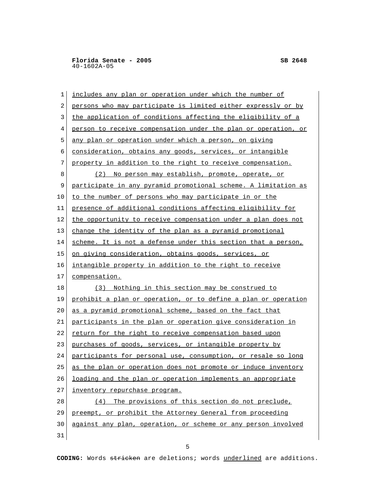| 1  | includes any plan or operation under which the number of       |
|----|----------------------------------------------------------------|
| 2  | persons who may participate is limited either expressly or by  |
| 3  | the application of conditions affecting the eligibility of a   |
| 4  | person to receive compensation under the plan or operation, or |
| 5  | any plan or operation under which a person, on giving          |
| 6  | consideration, obtains any goods, services, or intangible      |
| 7  | property in addition to the right to receive compensation.     |
| 8  | (2) No person may establish, promote, operate, or              |
| 9  | participate in any pyramid promotional scheme. A limitation as |
| 10 | to the number of persons who may participate in or the         |
| 11 | presence of additional conditions affecting eligibility for    |
| 12 | the opportunity to receive compensation under a plan does not  |
| 13 | change the identity of the plan as a pyramid promotional       |
| 14 | scheme. It is not a defense under this section that a person,  |
| 15 | <u>on giving consideration, obtains goods, services, or</u>    |
| 16 | intangible property in addition to the right to receive        |
| 17 | compensation.                                                  |
| 18 | (3) Nothing in this section may be construed to                |
| 19 | prohibit a plan or operation, or to define a plan or operation |
| 20 | as a pyramid promotional scheme, based on the fact that        |
| 21 | participants in the plan or operation give consideration in    |
| 22 | <u>return for the right to receive compensation based upon</u> |
| 23 | purchases of goods, services, or intangible property by        |
| 24 | participants for personal use, consumption, or resale so long  |
| 25 | as the plan or operation does not promote or induce inventory  |
| 26 | loading and the plan or operation implements an appropriate    |
| 27 | inventory repurchase program.                                  |
| 28 | (4) The provisions of this section do not preclude,            |
| 29 | preempt, or prohibit the Attorney General from proceeding      |
| 30 | against any plan, operation, or scheme or any person involved  |
| 31 |                                                                |

 $\sim$  5  $\sim$  5  $\sim$  5  $\sim$  5  $\sim$  5  $\sim$  5  $\sim$  5  $\sim$  5  $\sim$  5  $\sim$  5  $\sim$  5  $\sim$  5  $\sim$  5  $\sim$  5  $\sim$  5  $\sim$  5  $\sim$  5  $\sim$  5  $\sim$  5  $\sim$  5  $\sim$  5  $\sim$  5  $\sim$  5  $\sim$  5  $\sim$  5  $\sim$  5  $\sim$  5  $\sim$  5  $\sim$  5  $\sim$  5  $\sim$  5  $\sim$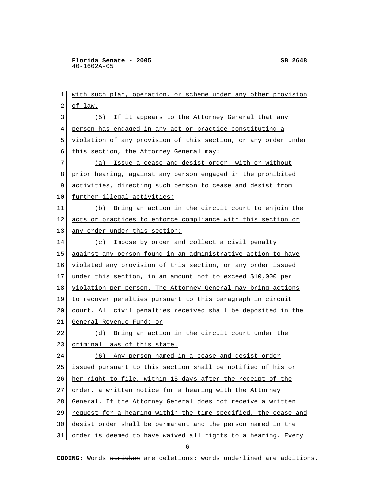**Florida Senate - 2005** SB 2648 40-1602A-05

 1 with such plan, operation, or scheme under any other provision 2 of law. 3 (5) If it appears to the Attorney General that any 4 person has engaged in any act or practice constituting a 5 violation of any provision of this section, or any order under 6 this section, the Attorney General may: 7 (a) Issue a cease and desist order, with or without 8 prior hearing, against any person engaged in the prohibited 9 activities, directing such person to cease and desist from 10 further illegal activities; 11 (b) Bring an action in the circuit court to enjoin the 12 acts or practices to enforce compliance with this section or 13 any order under this section; 14 (c) Impose by order and collect a civil penalty 15 against any person found in an administrative action to have 16 violated any provision of this section, or any order issued 17 under this section, in an amount not to exceed \$10,000 per 18 violation per person. The Attorney General may bring actions 19 to recover penalties pursuant to this paragraph in circuit 20 | court. All civil penalties received shall be deposited in the 21 General Revenue Fund; or 22 (d) Bring an action in the circuit court under the 23 criminal laws of this state. 24 (6) Any person named in a cease and desist order 25 issued pursuant to this section shall be notified of his or 26 her right to file, within 15 days after the receipt of the 27 order, a written notice for a hearing with the Attorney 28 General. If the Attorney General does not receive a written 29 request for a hearing within the time specified, the cease and 30 desist order shall be permanent and the person named in the 31 order is deemed to have waived all rights to a hearing. Every

 $\sim$  6